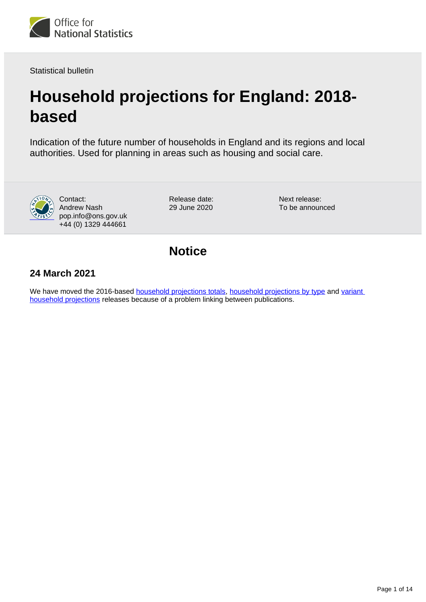

Statistical bulletin

# **Household projections for England: 2018 based**

Indication of the future number of households in England and its regions and local authorities. Used for planning in areas such as housing and social care.



Contact: Andrew Nash pop.info@ons.gov.uk +44 (0) 1329 444661

Release date: 29 June 2020

Next release: To be announced

# **Notice**

## **24 March 2021**

We have moved the 2016-based [household projections totals](https://www.ons.gov.uk/peoplepopulationandcommunity/populationandmigration/populationprojections/bulletins/2016basedhouseholdprojectionsinengland/2016basedhouseholdprojectionsinengland), [household projections by type](https://www.ons.gov.uk/peoplepopulationandcommunity/populationandmigration/populationprojections/bulletins/2016basedhouseholdprojectionsinengland/2016based) and variant [household projections](https://www.ons.gov.uk/peoplepopulationandcommunity/populationandmigration/populationprojections/articles/varianthouseholdprojectionsforengland/2016based) releases because of a problem linking between publications.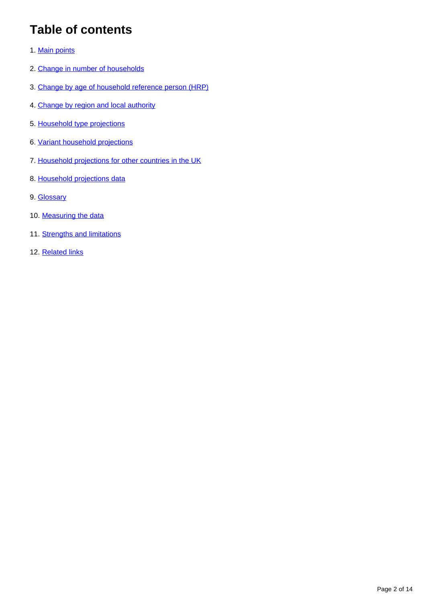# **Table of contents**

- 1. [Main points](#page-2-0)
- 2. [Change in number of households](#page-2-1)
- 3. [Change by age of household reference person \(HRP\)](#page-3-0)
- 4. [Change by region and local authority](#page-5-0)
- 5. [Household type projections](#page-6-0)
- 6. [Variant household projections](#page-9-0)
- 7. [Household projections for other countries in the UK](#page-9-1)
- 8. [Household projections data](#page-10-0)
- 9. [Glossary](#page-10-1)
- 10. [Measuring the data](#page-11-0)
- 11. [Strengths and limitations](#page-12-0)
- 12. [Related links](#page-13-0)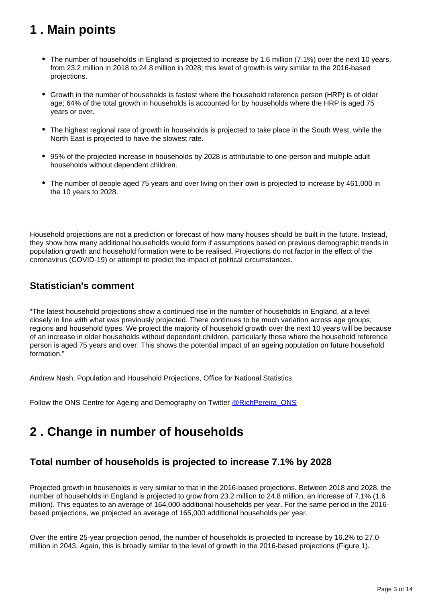# <span id="page-2-0"></span>**1 . Main points**

- The number of households in England is projected to increase by 1.6 million (7.1%) over the next 10 years, from 23.2 million in 2018 to 24.8 million in 2028; this level of growth is very similar to the 2016-based projections.
- Growth in the number of households is fastest where the household reference person (HRP) is of older age; 64% of the total growth in households is accounted for by households where the HRP is aged 75 years or over.
- The highest regional rate of growth in households is projected to take place in the South West, while the North East is projected to have the slowest rate.
- 95% of the projected increase in households by 2028 is attributable to one-person and multiple adult households without dependent children.
- The number of people aged 75 years and over living on their own is projected to increase by 461,000 in the 10 years to 2028.

Household projections are not a prediction or forecast of how many houses should be built in the future. Instead, they show how many additional households would form if assumptions based on previous demographic trends in population growth and household formation were to be realised. Projections do not factor in the effect of the coronavirus (COVID-19) or attempt to predict the impact of political circumstances.

## **Statistician's comment**

"The latest household projections show a continued rise in the number of households in England, at a level closely in line with what was previously projected. There continues to be much variation across age groups, regions and household types. We project the majority of household growth over the next 10 years will be because of an increase in older households without dependent children, particularly those where the household reference person is aged 75 years and over. This shows the potential impact of an ageing population on future household formation."

Andrew Nash, Population and Household Projections, Office for National Statistics

Follow the ONS Centre for Ageing and Demography on Twitter [@RichPereira\\_ONS](http://twitter.com/RichPereira_ONS)

## <span id="page-2-1"></span>**2 . Change in number of households**

## **Total number of households is projected to increase 7.1% by 2028**

Projected growth in households is very similar to that in the 2016-based projections. Between 2018 and 2028, the number of households in England is projected to grow from 23.2 million to 24.8 million, an increase of 7.1% (1.6 million). This equates to an average of 164,000 additional households per year. For the same period in the 2016 based projections, we projected an average of 165,000 additional households per year.

Over the entire 25-year projection period, the number of households is projected to increase by 16.2% to 27.0 million in 2043. Again, this is broadly similar to the level of growth in the 2016-based projections (Figure 1).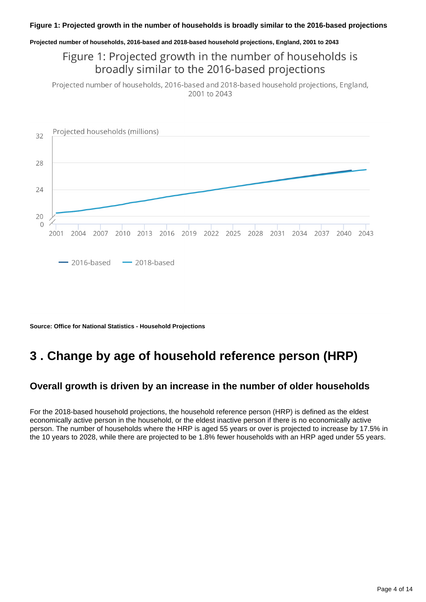#### **Figure 1: Projected growth in the number of households is broadly similar to the 2016-based projections**

**Projected number of households, 2016-based and 2018-based household projections, England, 2001 to 2043**

## Figure 1: Projected growth in the number of households is broadly similar to the 2016-based projections

Projected number of households, 2016-based and 2018-based household projections, England, 2001 to 2043



**Source: Office for National Statistics - Household Projections**

# <span id="page-3-0"></span>**3 . Change by age of household reference person (HRP)**

### **Overall growth is driven by an increase in the number of older households**

For the 2018-based household projections, the household reference person (HRP) is defined as the eldest economically active person in the household, or the eldest inactive person if there is no economically active person. The number of households where the HRP is aged 55 years or over is projected to increase by 17.5% in the 10 years to 2028, while there are projected to be 1.8% fewer households with an HRP aged under 55 years.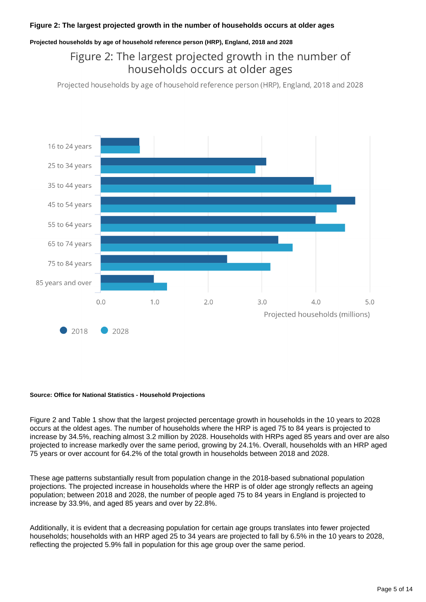#### **Projected households by age of household reference person (HRP), England, 2018 and 2028**

## Figure 2: The largest projected growth in the number of households occurs at older ages

Projected households by age of household reference person (HRP), England, 2018 and 2028



#### **Source: Office for National Statistics - Household Projections**

Figure 2 and Table 1 show that the largest projected percentage growth in households in the 10 years to 2028 occurs at the oldest ages. The number of households where the HRP is aged 75 to 84 years is projected to increase by 34.5%, reaching almost 3.2 million by 2028. Households with HRPs aged 85 years and over are also projected to increase markedly over the same period, growing by 24.1%. Overall, households with an HRP aged 75 years or over account for 64.2% of the total growth in households between 2018 and 2028.

These age patterns substantially result from population change in the 2018-based subnational population projections. The projected increase in households where the HRP is of older age strongly reflects an ageing population; between 2018 and 2028, the number of people aged 75 to 84 years in England is projected to increase by 33.9%, and aged 85 years and over by 22.8%.

Additionally, it is evident that a decreasing population for certain age groups translates into fewer projected households; households with an HRP aged 25 to 34 years are projected to fall by 6.5% in the 10 years to 2028, reflecting the projected 5.9% fall in population for this age group over the same period.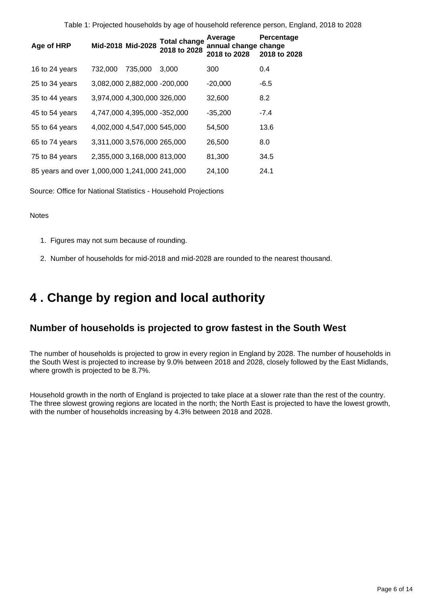Table 1: Projected households by age of household reference person, England, 2018 to 2028

| Age of HRP                                    | Mid-2018 Mid-2028 |                              | <b>Total change</b><br>2018 to 2028 | Average<br>annual change change<br>2018 to 2028 | Percentage<br>2018 to 2028 |
|-----------------------------------------------|-------------------|------------------------------|-------------------------------------|-------------------------------------------------|----------------------------|
| 16 to 24 years                                | 732,000           | 735,000                      | 3.000                               | 300                                             | 0.4                        |
| 25 to 34 years                                |                   | 3,082,000 2,882,000 -200,000 |                                     | $-20,000$                                       | -6.5                       |
| 35 to 44 years                                |                   | 3,974,000 4,300,000 326,000  |                                     | 32,600                                          | 8.2                        |
| 45 to 54 years                                |                   | 4,747,000 4,395,000 -352,000 |                                     | $-35,200$                                       | $-7.4$                     |
| 55 to 64 years                                |                   | 4,002,000 4,547,000 545,000  |                                     | 54,500                                          | 13.6                       |
| 65 to 74 years                                |                   | 3,311,000 3,576,000 265,000  |                                     | 26,500                                          | 8.0                        |
| 75 to 84 years                                |                   | 2,355,000 3,168,000 813,000  |                                     | 81,300                                          | 34.5                       |
| 85 years and over 1,000,000 1,241,000 241,000 |                   |                              |                                     | 24,100                                          | 24.1                       |

Source: Office for National Statistics - Household Projections

#### Notes

- 1. Figures may not sum because of rounding.
- 2. Number of households for mid-2018 and mid-2028 are rounded to the nearest thousand.

## <span id="page-5-0"></span>**4 . Change by region and local authority**

### **Number of households is projected to grow fastest in the South West**

The number of households is projected to grow in every region in England by 2028. The number of households in the South West is projected to increase by 9.0% between 2018 and 2028, closely followed by the East Midlands, where growth is projected to be 8.7%.

Household growth in the north of England is projected to take place at a slower rate than the rest of the country. The three slowest growing regions are located in the north; the North East is projected to have the lowest growth, with the number of households increasing by 4.3% between 2018 and 2028.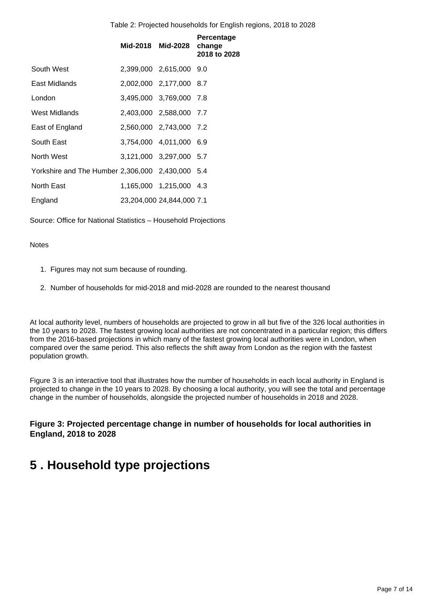Table 2: Projected households for English regions, 2018 to 2028

|                                                  | Mid-2018 Mid-2028 |                           | Percentage<br>change<br>2018 to 2028 |
|--------------------------------------------------|-------------------|---------------------------|--------------------------------------|
| South West                                       |                   | 2,399,000 2,615,000 9.0   |                                      |
| East Midlands                                    |                   | 2,002,000 2,177,000 8.7   |                                      |
| London                                           |                   | 3,495,000 3,769,000 7.8   |                                      |
| West Midlands                                    |                   | 2,403,000 2,588,000 7.7   |                                      |
| East of England                                  |                   | 2,560,000 2,743,000 7.2   |                                      |
| South East                                       |                   | 3,754,000 4,011,000 6.9   |                                      |
| North West                                       |                   | 3,121,000 3,297,000 5.7   |                                      |
| Yorkshire and The Humber 2,306,000 2,430,000 5.4 |                   |                           |                                      |
| North East                                       |                   | 1,165,000 1,215,000 4.3   |                                      |
| England                                          |                   | 23,204,000 24,844,000 7.1 |                                      |

Source: Office for National Statistics – Household Projections

#### **Notes**

- 1. Figures may not sum because of rounding.
- 2. Number of households for mid-2018 and mid-2028 are rounded to the nearest thousand

At local authority level, numbers of households are projected to grow in all but five of the 326 local authorities in the 10 years to 2028. The fastest growing local authorities are not concentrated in a particular region; this differs from the 2016-based projections in which many of the fastest growing local authorities were in London, when compared over the same period. This also reflects the shift away from London as the region with the fastest population growth.

Figure 3 is an interactive tool that illustrates how the number of households in each local authority in England is projected to change in the 10 years to 2028. By choosing a local authority, you will see the total and percentage change in the number of households, alongside the projected number of households in 2018 and 2028.

### **Figure 3: Projected percentage change in number of households for local authorities in England, 2018 to 2028**

# <span id="page-6-0"></span>**5 . Household type projections**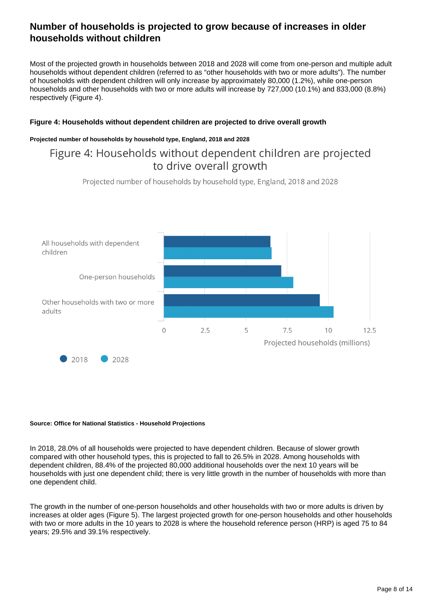## **Number of households is projected to grow because of increases in older households without children**

Most of the projected growth in households between 2018 and 2028 will come from one-person and multiple adult households without dependent children (referred to as "other households with two or more adults"). The number of households with dependent children will only increase by approximately 80,000 (1.2%), while one-person households and other households with two or more adults will increase by 727,000 (10.1%) and 833,000 (8.8%) respectively (Figure 4).

#### **Figure 4: Households without dependent children are projected to drive overall growth**

#### **Projected number of households by household type, England, 2018 and 2028**

## Figure 4: Households without dependent children are projected to drive overall growth

Projected number of households by household type, England, 2018 and 2028



#### **Source: Office for National Statistics - Household Projections**

In 2018, 28.0% of all households were projected to have dependent children. Because of slower growth compared with other household types, this is projected to fall to 26.5% in 2028. Among households with dependent children, 88.4% of the projected 80,000 additional households over the next 10 years will be households with just one dependent child; there is very little growth in the number of households with more than one dependent child.

The growth in the number of one-person households and other households with two or more adults is driven by increases at older ages (Figure 5). The largest projected growth for one-person households and other households with two or more adults in the 10 years to 2028 is where the household reference person (HRP) is aged 75 to 84 years; 29.5% and 39.1% respectively.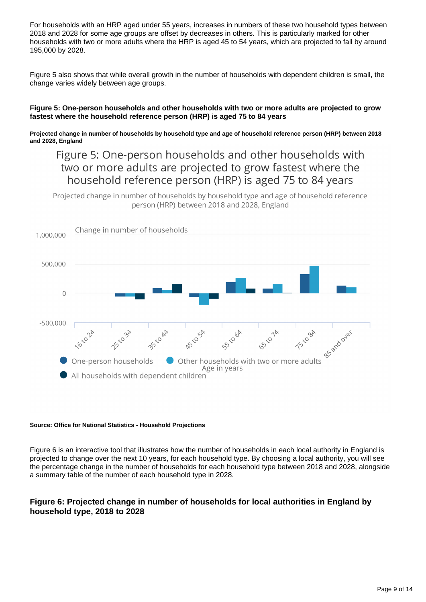For households with an HRP aged under 55 years, increases in numbers of these two household types between 2018 and 2028 for some age groups are offset by decreases in others. This is particularly marked for other households with two or more adults where the HRP is aged 45 to 54 years, which are projected to fall by around 195,000 by 2028.

Figure 5 also shows that while overall growth in the number of households with dependent children is small, the change varies widely between age groups.

#### **Figure 5: One-person households and other households with two or more adults are projected to grow fastest where the household reference person (HRP) is aged 75 to 84 years**

#### **Projected change in number of households by household type and age of household reference person (HRP) between 2018 and 2028, England**

## Figure 5: One-person households and other households with two or more adults are projected to grow fastest where the household reference person (HRP) is aged 75 to 84 years

Projected change in number of households by household type and age of household reference person (HRP) between 2018 and 2028, England



#### **Source: Office for National Statistics - Household Projections**

Figure 6 is an interactive tool that illustrates how the number of households in each local authority in England is projected to change over the next 10 years, for each household type. By choosing a local authority, you will see the percentage change in the number of households for each household type between 2018 and 2028, alongside a summary table of the number of each household type in 2028.

### **Figure 6: Projected change in number of households for local authorities in England by household type, 2018 to 2028**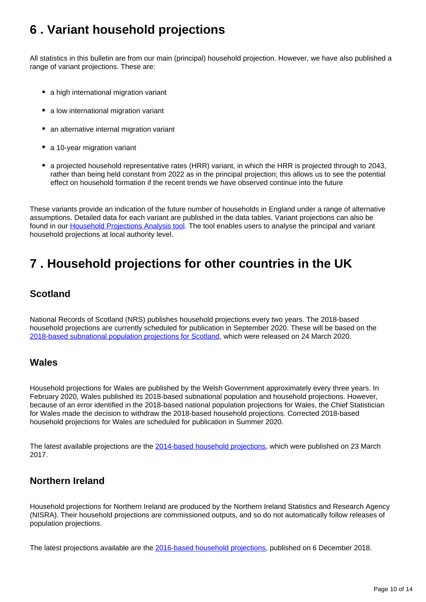# <span id="page-9-0"></span>**6 . Variant household projections**

All statistics in this bulletin are from our main (principal) household projection. However, we have also published a range of variant projections. These are:

- a high international migration variant
- a low international migration variant
- an alternative internal migration variant
- a 10-year migration variant
- a projected household representative rates (HRR) variant, in which the HRR is projected through to 2043, rather than being held constant from 2022 as in the principal projection; this allows us to see the potential effect on household formation if the recent trends we have observed continue into the future

These variants provide an indication of the future number of households in England under a range of alternative assumptions. Detailed data for each variant are published in the data tables. Variant projections can also be found in our **[Household Projections Analysis tool](https://www.ons.gov.uk/peoplepopulationandcommunity/populationandmigration/populationprojections/datasets/householdprojectionsforenglanddetaileddataformodellingandanalysis)**. The tool enables users to analyse the principal and variant household projections at local authority level.

# <span id="page-9-1"></span>**7 . Household projections for other countries in the UK**

## **Scotland**

National Records of Scotland (NRS) publishes household projections every two years. The 2018-based household projections are currently scheduled for publication in September 2020. These will be based on the [2018-based subnational population projections for Scotland,](https://www.nrscotland.gov.uk/statistics-and-data/statistics/statistics-by-theme/population/population-projections/sub-national-population-projections/2018-based) which were released on 24 March 2020.

## **Wales**

Household projections for Wales are published by the Welsh Government approximately every three years. In February 2020, Wales published its 2018-based subnational population and household projections. However, because of an error identified in the 2018-based national population projections for Wales, the Chief Statistician for Wales made the decision to withdraw the 2018-based household projections. Corrected 2018-based household projections for Wales are scheduled for publication in Summer 2020.

The latest available projections are the [2014-based household projections,](https://gov.wales/local-authority-household-projections-2014-based) which were published on 23 March 2017.

## **Northern Ireland**

Household projections for Northern Ireland are produced by the Northern Ireland Statistics and Research Agency (NISRA). Their household projections are commissioned outputs, and so do not automatically follow releases of population projections.

The latest projections available are the [2016-based household projections,](https://www.nisra.gov.uk/publications/northern-ireland-household-projections-2016-based) published on 6 December 2018.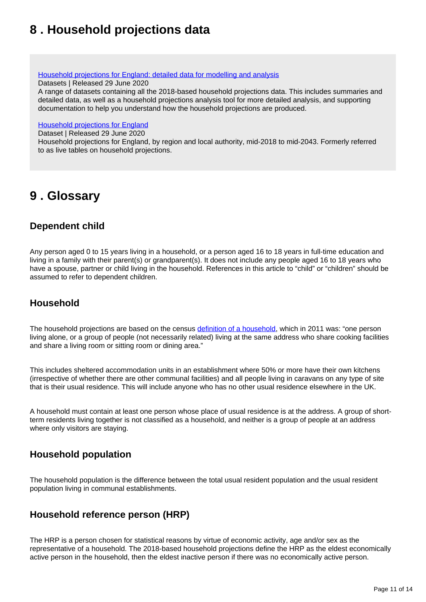# <span id="page-10-0"></span>**8 . Household projections data**

[Household projections for England: detailed data for modelling and analysis](https://www.ons.gov.uk/peoplepopulationandcommunity/populationandmigration/populationprojections/datasets/householdprojectionsforenglanddetaileddataformodellingandanalysis)

Datasets | Released 29 June 2020

A range of datasets containing all the 2018-based household projections data. This includes summaries and detailed data, as well as a household projections analysis tool for more detailed analysis, and supporting documentation to help you understand how the household projections are produced.

#### [Household projections for England](https://www.ons.gov.uk/peoplepopulationandcommunity/populationandmigration/populationprojections/datasets/householdprojectionsforengland)

Dataset | Released 29 June 2020

Household projections for England, by region and local authority, mid-2018 to mid-2043. Formerly referred to as live tables on household projections.

## <span id="page-10-1"></span>**9 . Glossary**

## **Dependent child**

Any person aged 0 to 15 years living in a household, or a person aged 16 to 18 years in full-time education and living in a family with their parent(s) or grandparent(s). It does not include any people aged 16 to 18 years who have a spouse, partner or child living in the household. References in this article to "child" or "children" should be assumed to refer to dependent children.

## **Household**

The household projections are based on the census [definition of a household](https://www.ons.gov.uk/census/2011census/2011censusdata/2011censususerguide/glossary), which in 2011 was: "one person living alone, or a group of people (not necessarily related) living at the same address who share cooking facilities and share a living room or sitting room or dining area."

This includes sheltered accommodation units in an establishment where 50% or more have their own kitchens (irrespective of whether there are other communal facilities) and all people living in caravans on any type of site that is their usual residence. This will include anyone who has no other usual residence elsewhere in the UK.

A household must contain at least one person whose place of usual residence is at the address. A group of shortterm residents living together is not classified as a household, and neither is a group of people at an address where only visitors are staying.

## **Household population**

The household population is the difference between the total usual resident population and the usual resident population living in communal establishments.

## **Household reference person (HRP)**

The HRP is a person chosen for statistical reasons by virtue of economic activity, age and/or sex as the representative of a household. The 2018-based household projections define the HRP as the eldest economically active person in the household, then the eldest inactive person if there was no economically active person.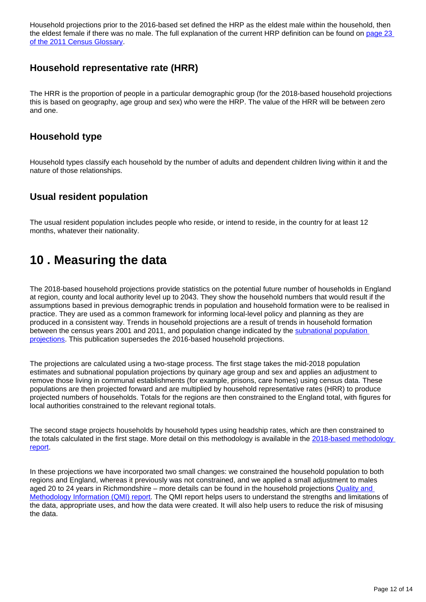Household projections prior to the 2016-based set defined the HRP as the eldest male within the household, then the eldest female if there was no male. The full explanation of the current HRP definition can be found on page 23 [of the 2011 Census Glossary.](https://www.ons.gov.uk/census/2011census/2011censusdata/2011censususerguide/glossary)

## **Household representative rate (HRR)**

The HRR is the proportion of people in a particular demographic group (for the 2018-based household projections this is based on geography, age group and sex) who were the HRP. The value of the HRR will be between zero and one.

### **Household type**

Household types classify each household by the number of adults and dependent children living within it and the nature of those relationships.

## **Usual resident population**

The usual resident population includes people who reside, or intend to reside, in the country for at least 12 months, whatever their nationality.

# <span id="page-11-0"></span>**10 . Measuring the data**

The 2018-based household projections provide statistics on the potential future number of households in England at region, county and local authority level up to 2043. They show the household numbers that would result if the assumptions based in previous demographic trends in population and household formation were to be realised in practice. They are used as a common framework for informing local-level policy and planning as they are produced in a consistent way. Trends in household projections are a result of trends in household formation between the census years 2001 and 2011, and population change indicated by the [subnational population](https://www.ons.gov.uk/peoplepopulationandcommunity/populationandmigration/populationprojections/bulletins/subnationalpopulationprojectionsforengland/previousReleases)  [projections.](https://www.ons.gov.uk/peoplepopulationandcommunity/populationandmigration/populationprojections/bulletins/subnationalpopulationprojectionsforengland/previousReleases) This publication supersedes the 2016-based household projections.

The projections are calculated using a two-stage process. The first stage takes the mid-2018 population estimates and subnational population projections by quinary age group and sex and applies an adjustment to remove those living in communal establishments (for example, prisons, care homes) using census data. These populations are then projected forward and are multiplied by household representative rates (HRR) to produce projected numbers of households. Totals for the regions are then constrained to the England total, with figures for local authorities constrained to the relevant regional totals.

The second stage projects households by household types using headship rates, which are then constrained to the totals calculated in the first stage. More detail on this methodology is available in the 2018-based methodology [report](https://www.ons.gov.uk/peoplepopulationandcommunity/populationandmigration/populationprojections/methodologies/methodologyusedtoproducehouseholdprojectionsforengland2018based).

In these projections we have incorporated two small changes: we constrained the household population to both regions and England, whereas it previously was not constrained, and we applied a small adjustment to males aged 20 to 24 years in Richmondshire – more details can be found in the household projections Quality and [Methodology Information \(QMI\) report](https://www.ons.gov.uk/peoplepopulationandcommunity/populationandmigration/populationprojections/methodologies/householdprojectionsinenglandqmi). The QMI report helps users to understand the strengths and limitations of the data, appropriate uses, and how the data were created. It will also help users to reduce the risk of misusing the data.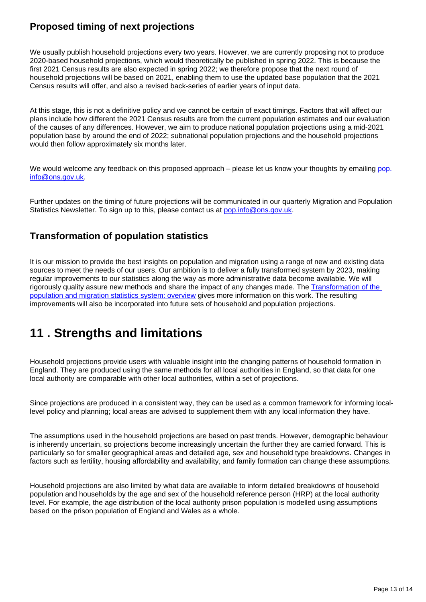## **Proposed timing of next projections**

We usually publish household projections every two years. However, we are currently proposing not to produce 2020-based household projections, which would theoretically be published in spring 2022. This is because the first 2021 Census results are also expected in spring 2022; we therefore propose that the next round of household projections will be based on 2021, enabling them to use the updated base population that the 2021 Census results will offer, and also a revised back-series of earlier years of input data.

At this stage, this is not a definitive policy and we cannot be certain of exact timings. Factors that will affect our plans include how different the 2021 Census results are from the current population estimates and our evaluation of the causes of any differences. However, we aim to produce national population projections using a mid-2021 population base by around the end of 2022; subnational population projections and the household projections would then follow approximately six months later.

We would welcome any feedback on this proposed approach – please let us know your thoughts by emailing [pop.](mailto:pop.info@ons.gov.uk) [info@ons.gov.uk](mailto:pop.info@ons.gov.uk).

Further updates on the timing of future projections will be communicated in our quarterly Migration and Population Statistics Newsletter. To sign up to this, please contact us at [pop.info@ons.gov.uk](mailto:pop.info@ons.gov.uk).

## **Transformation of population statistics**

It is our mission to provide the best insights on population and migration using a range of new and existing data sources to meet the needs of our users. Our ambition is to deliver a fully transformed system by 2023, making regular improvements to our statistics along the way as more administrative data become available. We will rigorously quality assure new methods and share the impact of any changes made. The [Transformation of the](https://www.ons.gov.uk/peoplepopulationandcommunity/populationandmigration/internationalmigration/articles/transformationofthepopulationandmigrationstatisticssystemoverview/2019-06-21)  [population and migration statistics system: overview](https://www.ons.gov.uk/peoplepopulationandcommunity/populationandmigration/internationalmigration/articles/transformationofthepopulationandmigrationstatisticssystemoverview/2019-06-21) gives more information on this work. The resulting improvements will also be incorporated into future sets of household and population projections.

# <span id="page-12-0"></span>**11 . Strengths and limitations**

Household projections provide users with valuable insight into the changing patterns of household formation in England. They are produced using the same methods for all local authorities in England, so that data for one local authority are comparable with other local authorities, within a set of projections.

Since projections are produced in a consistent way, they can be used as a common framework for informing locallevel policy and planning; local areas are advised to supplement them with any local information they have.

The assumptions used in the household projections are based on past trends. However, demographic behaviour is inherently uncertain, so projections become increasingly uncertain the further they are carried forward. This is particularly so for smaller geographical areas and detailed age, sex and household type breakdowns. Changes in factors such as fertility, housing affordability and availability, and family formation can change these assumptions.

Household projections are also limited by what data are available to inform detailed breakdowns of household population and households by the age and sex of the household reference person (HRP) at the local authority level. For example, the age distribution of the local authority prison population is modelled using assumptions based on the prison population of England and Wales as a whole.